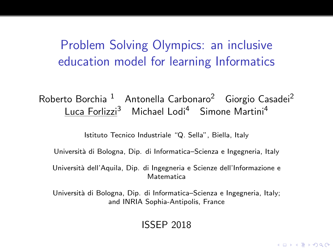Problem Solving Olympics: an inclusive education model for learning Informatics

### Roberto Borchia<sup>1</sup> Antonella Carbonaro<sup>2</sup> Giorgio Casadei<sup>2</sup> Luca Forlizzi<sup>3</sup> Michael Lodi<sup>4</sup> Simone Martini<sup>4</sup>

Istituto Tecnico Industriale "Q. Sella", Biella, Italy

Universit`a di Bologna, Dip. di Informatica–Scienza e Ingegneria, Italy

Università dell'Aquila, Dip. di Ingegneria e Scienze dell'Informazione e Matematica

Università di Bologna, Dip. di Informatica–Scienza e Ingegneria, Italy; and INRIA Sophia-Antipolis, France

#### ISSEP 2018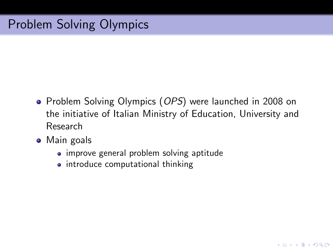- Problem Solving Olympics (OPS) were launched in 2008 on the initiative of Italian Ministry of Education, University and Research
- Main goals
	- improve general problem solving aptitude
	- introduce computational thinking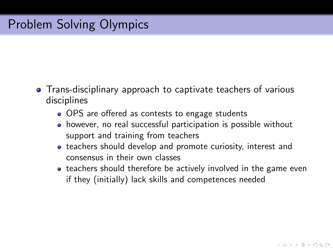- Trans-disciplinary approach to captivate teachers of various disciplines
	- OPS are offered as contests to engage students
	- however, no real successful participation is possible without support and training from teachers
	- teachers should develop and promote curiosity, interest and consensus in their own classes
	- teachers should therefore be actively involved in the game even if they (initially) lack skills and competences needed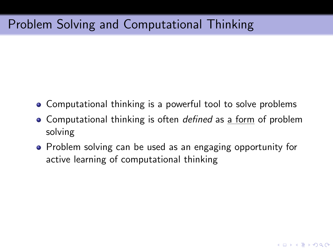# Problem Solving and Computational Thinking

- Computational thinking is a powerful tool to solve problems
- Computational thinking is often *defined* as a form of problem solving
- Problem solving can be used as an engaging opportunity for active learning of computational thinking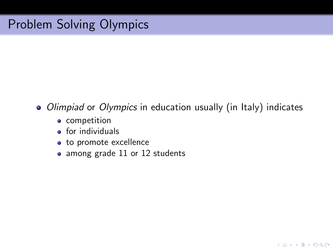#### • Olimpiad or Olympics in education usually (in Italy) indicates

- competition
- $\bullet$  for individuals
- to promote excellence
- among grade 11 or 12 students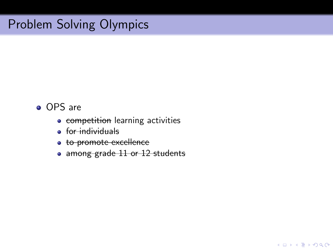- OPS are
	- **competition** learning activities
	- **•** for individuals
	- **to promote excellence**
	- among grade 11 or 12 students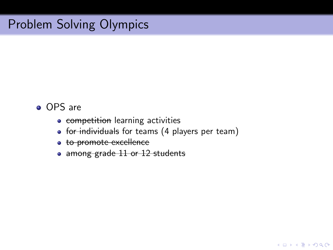- OPS are
	- **competition** learning activities
	- for individuals for teams (4 players per team)
	- to promote excellence
	- among grade 11 or 12 students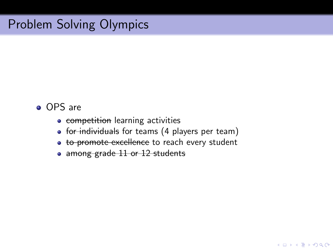- OPS are
	- **competition** learning activities
	- for individuals for teams (4 players per team)
	- to promote excellence to reach every student
	- among grade 11 or 12 students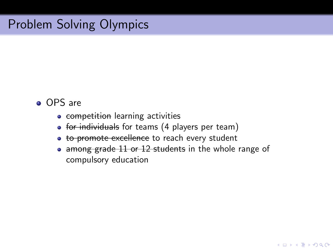- OPS are
	- **competition** learning activities
	- for individuals for teams (4 players per team)
	- to promote excellence to reach every student
	- among grade 11 or 12 students in the whole range of compulsory education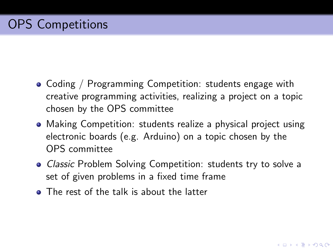- Coding / Programming Competition: students engage with creative programming activities, realizing a project on a topic chosen by the OPS committee
- Making Competition: students realize a physical project using electronic boards (e.g. Arduino) on a topic chosen by the OPS committee
- Classic Problem Solving Competition: students try to solve a set of given problems in a fixed time frame
- **•** The rest of the talk is about the latter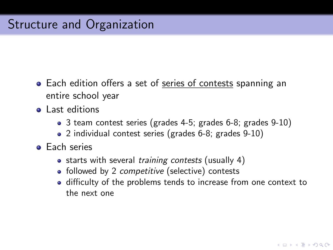- Each edition offers a set of series of contests spanning an entire school year
- **a** Last editions
	- 3 team contest series (grades 4-5; grades 6-8; grades 9-10)
	- 2 individual contest series (grades 6-8; grades 9-10)
- **•** Each series
	- starts with several training contests (usually 4)
	- followed by 2 *competitive* (selective) contests
	- difficulty of the problems tends to increase from one context to the next one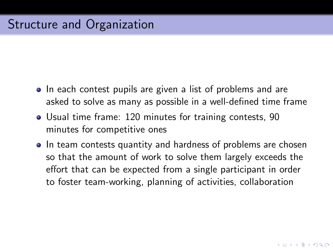- In each contest pupils are given a list of problems and are asked to solve as many as possible in a well-defined time frame
- Usual time frame: 120 minutes for training contests, 90 minutes for competitive ones
- In team contests quantity and hardness of problems are chosen so that the amount of work to solve them largely exceeds the effort that can be expected from a single participant in order to foster team-working, planning of activities, collaboration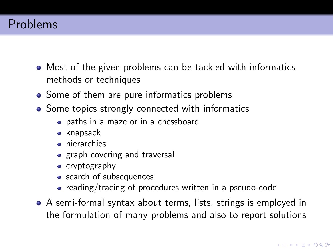### Problems

- Most of the given problems can be tackled with informatics methods or techniques
- Some of them are pure informatics problems
- Some topics strongly connected with informatics
	- paths in a maze or in a chessboard
	- knapsack
	- **•** hierarchies
	- graph covering and traversal
	- cryptography
	- search of subsequences
	- reading/tracing of procedures written in a pseudo-code
- A semi-formal syntax about terms, lists, strings is employed in the formulation of many problems and also to report solutions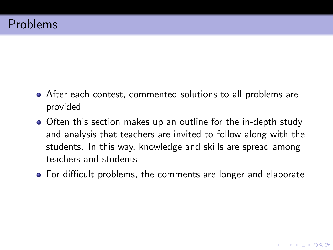- After each contest, commented solutions to all problems are provided
- Often this section makes up an outline for the in-depth study and analysis that teachers are invited to follow along with the students. In this way, knowledge and skills are spread among teachers and students
- For difficult problems, the comments are longer and elaborate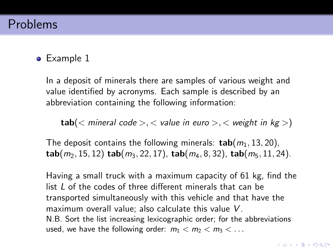### Problems

### • Example 1

In a deposit of minerals there are samples of various weight and value identified by acronyms. Each sample is described by an abbreviation containing the following information:

 $tab(*mineral code* > *value in euro* > *time weight in kg* >)$ 

The deposit contains the following minerals:  $\text{tab}(m_1, 13, 20)$ ,  $tab(m_2, 15, 12)$  tab( $m_3$ , 22, 17), tab( $m_4$ , 8, 32), tab( $m_5$ , 11, 24).

Having a small truck with a maximum capacity of 61 kg, find the list L of the codes of three different minerals that can be transported simultaneously with this vehicle and that have the maximum overall value; also calculate this value V. N.B. Sort the list increasing lexicographic order; for the abbreviations used, we have the following order:  $m_1 < m_2 < m_3 < \ldots$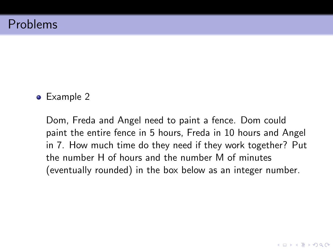• Example 2

Dom, Freda and Angel need to paint a fence. Dom could paint the entire fence in 5 hours, Freda in 10 hours and Angel in 7. How much time do they need if they work together? Put the number H of hours and the number M of minutes (eventually rounded) in the box below as an integer number.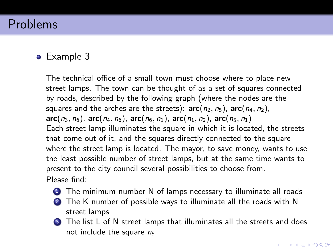### Problems

#### • Example 3

The technical office of a small town must choose where to place new street lamps. The town can be thought of as a set of squares connected by roads, described by the following graph (where the nodes are the squares and the arches are the streets):  $arc(n_2, n_5)$ ,  $arc(n_4, n_2)$ ,  $arc(n_3, n_6)$ ,  $arc(n_4, n_6)$ ,  $arc(n_6, n_1)$ ,  $arc(n_1, n_2)$ ,  $arc(n_5, n_1)$ Each street lamp illuminates the square in which it is located, the streets that come out of it, and the squares directly connected to the square where the street lamp is located. The mayor, to save money, wants to use the least possible number of street lamps, but at the same time wants to present to the city council several possibilities to choose from. Please find:

- **1** The minimum number N of lamps necessary to illuminate all roads
- <sup>2</sup> The K number of possible ways to illuminate all the roads with N street lamps
- **3** The list L of N street lamps that illuminates all the streets and does not include the square  $n_5$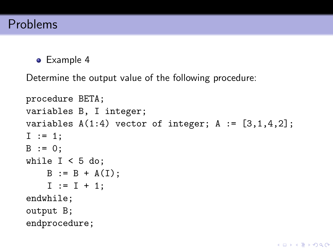• Example 4

Determine the output value of the following procedure:

```
procedure BETA;
variables B, I integer;
variables A(1:4) vector of integer; A := [3,1,4,2];
I := 1;
B := 0;while I < 5 do:
   B := B + A(I);I := I + 1;
endwhile;
output B;
endprocedure;
```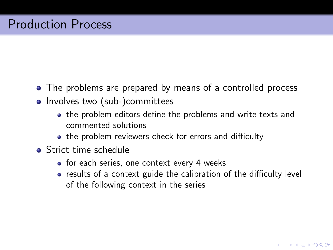- The problems are prepared by means of a controlled process
- Involves two (sub-)committees
	- the problem editors define the problems and write texts and commented solutions
	- the problem reviewers check for errors and difficulty
- **Strict time schedule** 
	- for each series, one context every 4 weeks
	- results of a context guide the calibration of the difficulty level of the following context in the series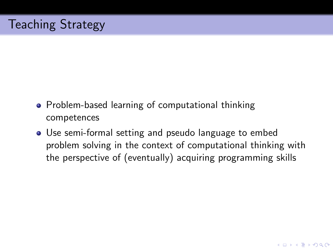- Problem-based learning of computational thinking competences
- Use semi-formal setting and pseudo language to embed problem solving in the context of computational thinking with the perspective of (eventually) acquiring programming skills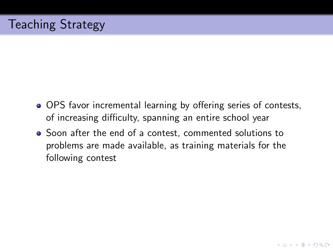- OPS favor incremental learning by offering series of contests, of increasing difficulty, spanning an entire school year
- Soon after the end of a contest, commented solutions to problems are made available, as training materials for the following contest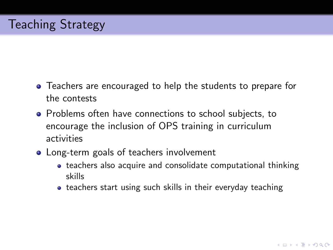- Teachers are encouraged to help the students to prepare for the contests
- Problems often have connections to school subjects, to encourage the inclusion of OPS training in curriculum activities
- Long-term goals of teachers involvement
	- teachers also acquire and consolidate computational thinking skills
	- teachers start using such skills in their everyday teaching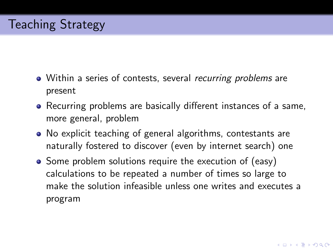- Within a series of contests, several recurring problems are present
- Recurring problems are basically different instances of a same, more general, problem
- No explicit teaching of general algorithms, contestants are naturally fostered to discover (even by internet search) one
- Some problem solutions require the execution of (easy) calculations to be repeated a number of times so large to make the solution infeasible unless one writes and executes a program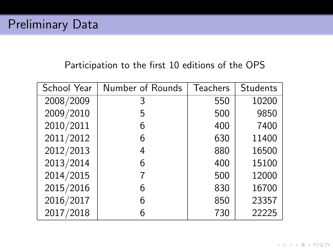### Participation to the first 10 editions of the OPS

| School Year | Number of Rounds | <b>Teachers</b> | Students |
|-------------|------------------|-----------------|----------|
| 2008/2009   | 3                | 550             | 10200    |
| 2009/2010   | 5                | 500             | 9850     |
| 2010/2011   | 6                | 400             | 7400     |
| 2011/2012   | 6                | 630             | 11400    |
| 2012/2013   | 4                | 880             | 16500    |
| 2013/2014   | 6                | 400             | 15100    |
| 2014/2015   |                  | 500             | 12000    |
| 2015/2016   | 6                | 830             | 16700    |
| 2016/2017   | 6                | 850             | 23357    |
| 2017/2018   | 6                | 730             | 22225    |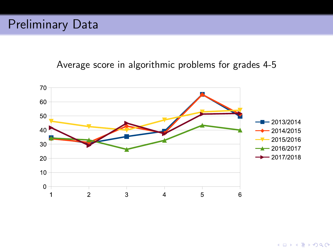### Average score in algorithmic problems for grades 4-5

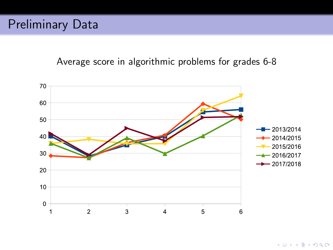Average score in algorithmic problems for grades 6-8

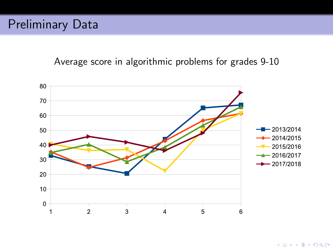### Average score in algorithmic problems for grades 9-10